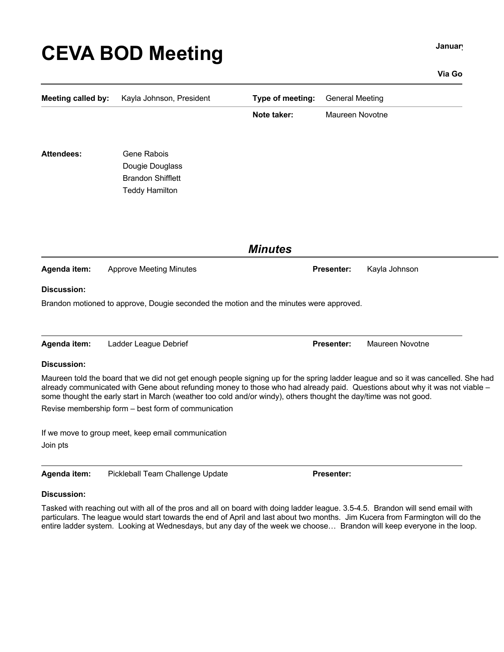# **CEVA BOD Meeting CEVA BOD**

## **Via Go**

| <b>Meeting called by:</b>      | Kayla Johnson, President                                                                                                                                                                                                                                                                                                                                                                                                                                                                          | Type of meeting: | <b>General Meeting</b> |                 |  |
|--------------------------------|---------------------------------------------------------------------------------------------------------------------------------------------------------------------------------------------------------------------------------------------------------------------------------------------------------------------------------------------------------------------------------------------------------------------------------------------------------------------------------------------------|------------------|------------------------|-----------------|--|
|                                |                                                                                                                                                                                                                                                                                                                                                                                                                                                                                                   | Note taker:      | Maureen Novotne        |                 |  |
| <b>Attendees:</b>              | <b>Gene Rabois</b><br>Dougie Douglass<br><b>Brandon Shifflett</b><br><b>Teddy Hamilton</b>                                                                                                                                                                                                                                                                                                                                                                                                        |                  |                        |                 |  |
|                                |                                                                                                                                                                                                                                                                                                                                                                                                                                                                                                   | <b>Minutes</b>   |                        |                 |  |
| Agenda item:                   | <b>Approve Meeting Minutes</b>                                                                                                                                                                                                                                                                                                                                                                                                                                                                    |                  | <b>Presenter:</b>      | Kayla Johnson   |  |
| <b>Discussion:</b>             | Brandon motioned to approve, Dougie seconded the motion and the minutes were approved.                                                                                                                                                                                                                                                                                                                                                                                                            |                  |                        |                 |  |
| Agenda item:                   | Ladder League Debrief                                                                                                                                                                                                                                                                                                                                                                                                                                                                             |                  | <b>Presenter:</b>      | Maureen Novotne |  |
| <b>Discussion:</b><br>Join pts | Maureen told the board that we did not get enough people signing up for the spring ladder league and so it was cancelled. She had<br>already communicated with Gene about refunding money to those who had already paid. Questions about why it was not viable -<br>some thought the early start in March (weather too cold and/or windy), others thought the day/time was not good.<br>Revise membership form - best form of communication<br>If we move to group meet, keep email communication |                  |                        |                 |  |

| Agenda item: | Pickleball Team Challenge Update | <b>Presenter:</b> |
|--------------|----------------------------------|-------------------|
|--------------|----------------------------------|-------------------|

# **Discussion:**

Tasked with reaching out with all of the pros and all on board with doing ladder league. 3.5-4.5. Brandon will send email with particulars. The league would start towards the end of April and last about two months. Jim Kucera from Farmington will do the entire ladder system. Looking at Wednesdays, but any day of the week we choose… Brandon will keep everyone in the loop.